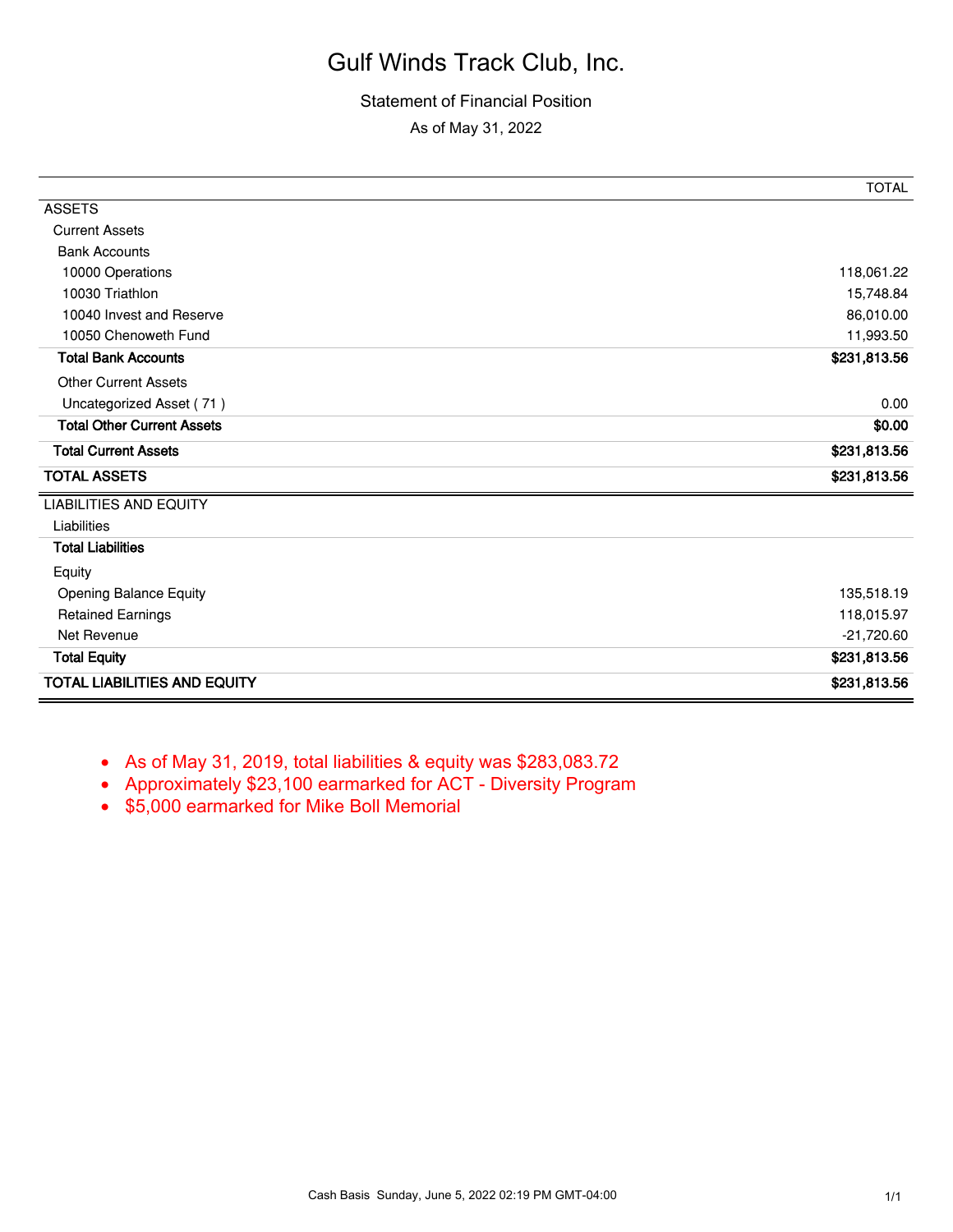#### Statement of Financial Position

As of May 31, 2022

|                                     | <b>TOTAL</b> |
|-------------------------------------|--------------|
| <b>ASSETS</b>                       |              |
| <b>Current Assets</b>               |              |
| <b>Bank Accounts</b>                |              |
| 10000 Operations                    | 118,061.22   |
| 10030 Triathlon                     | 15,748.84    |
| 10040 Invest and Reserve            | 86,010.00    |
| 10050 Chenoweth Fund                | 11,993.50    |
| <b>Total Bank Accounts</b>          | \$231,813.56 |
| <b>Other Current Assets</b>         |              |
| Uncategorized Asset (71)            | 0.00         |
| <b>Total Other Current Assets</b>   | \$0.00       |
| <b>Total Current Assets</b>         | \$231,813.56 |
| <b>TOTAL ASSETS</b>                 | \$231,813.56 |
| <b>LIABILITIES AND EQUITY</b>       |              |
| Liabilities                         |              |
| <b>Total Liabilities</b>            |              |
| Equity                              |              |
| Opening Balance Equity              | 135,518.19   |
| <b>Retained Earnings</b>            | 118,015.97   |
| Net Revenue                         | $-21,720.60$ |
| <b>Total Equity</b>                 | \$231,813.56 |
| <b>TOTAL LIABILITIES AND EQUITY</b> | \$231,813.56 |

- As of May 31, 2019, total liabilities & equity was \$283,083.72
- Approximately \$23,100 earmarked for ACT Diversity Program
- \$5,000 earmarked for Mike Boll Memorial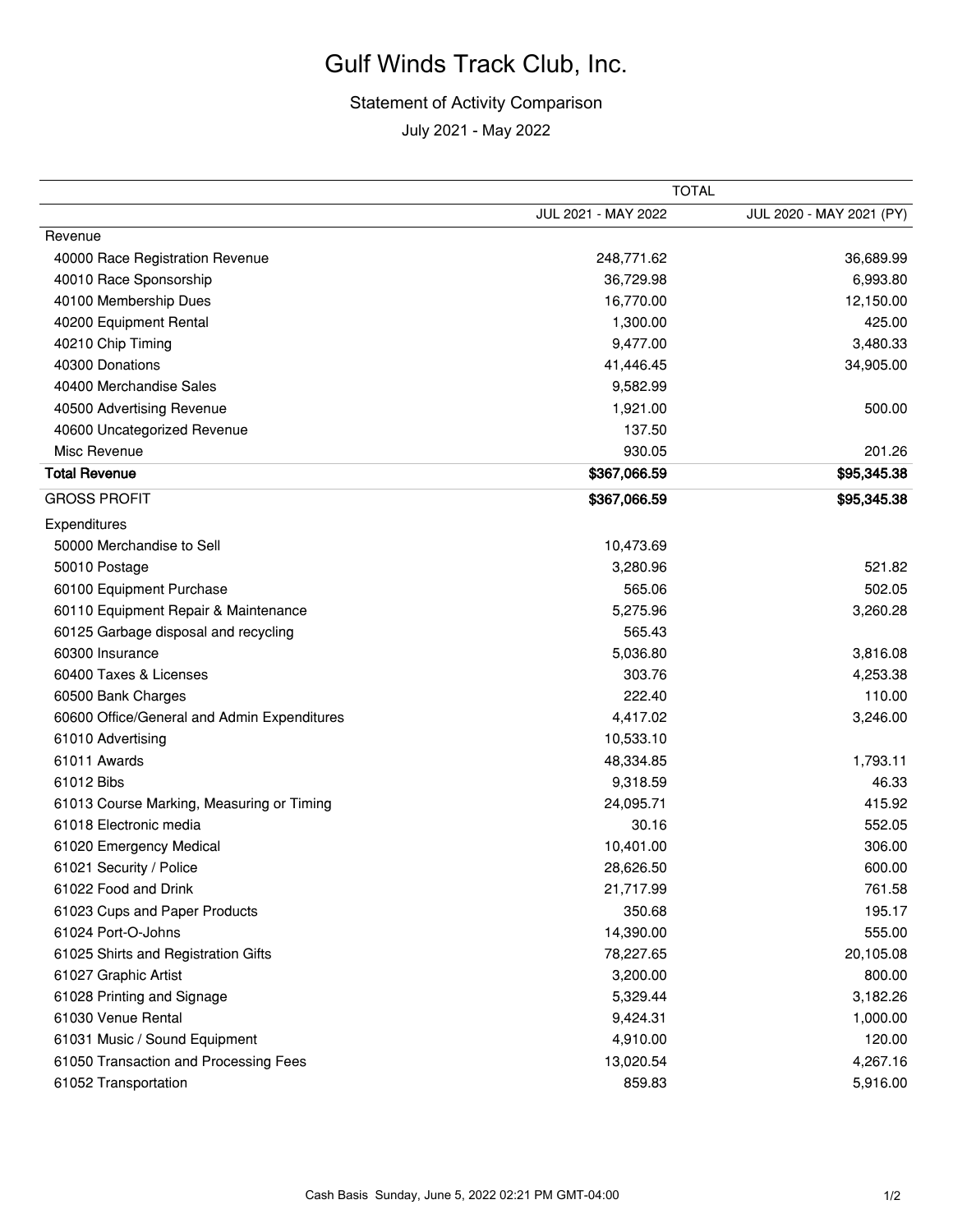# Statement of Activity Comparison

July 2021 - May 2022

|                                             | TOTAL               |                          |
|---------------------------------------------|---------------------|--------------------------|
|                                             | JUL 2021 - MAY 2022 | JUL 2020 - MAY 2021 (PY) |
| Revenue                                     |                     |                          |
| 40000 Race Registration Revenue             | 248,771.62          | 36,689.99                |
| 40010 Race Sponsorship                      | 36,729.98           | 6,993.80                 |
| 40100 Membership Dues                       | 16,770.00           | 12,150.00                |
| 40200 Equipment Rental                      | 1,300.00            | 425.00                   |
| 40210 Chip Timing                           | 9,477.00            | 3,480.33                 |
| 40300 Donations                             | 41,446.45           | 34,905.00                |
| 40400 Merchandise Sales                     | 9,582.99            |                          |
| 40500 Advertising Revenue                   | 1,921.00            | 500.00                   |
| 40600 Uncategorized Revenue                 | 137.50              |                          |
| Misc Revenue                                | 930.05              | 201.26                   |
| <b>Total Revenue</b>                        | \$367,066.59        | \$95,345.38              |
| <b>GROSS PROFIT</b>                         | \$367,066.59        | \$95,345.38              |
| Expenditures                                |                     |                          |
| 50000 Merchandise to Sell                   | 10,473.69           |                          |
| 50010 Postage                               | 3,280.96            | 521.82                   |
| 60100 Equipment Purchase                    | 565.06              | 502.05                   |
| 60110 Equipment Repair & Maintenance        | 5,275.96            | 3,260.28                 |
| 60125 Garbage disposal and recycling        | 565.43              |                          |
| 60300 Insurance                             | 5,036.80            | 3,816.08                 |
| 60400 Taxes & Licenses                      | 303.76              | 4,253.38                 |
| 60500 Bank Charges                          | 222.40              | 110.00                   |
| 60600 Office/General and Admin Expenditures | 4,417.02            | 3,246.00                 |
| 61010 Advertising                           | 10,533.10           |                          |
| 61011 Awards                                | 48,334.85           | 1,793.11                 |
| 61012 Bibs                                  | 9,318.59            | 46.33                    |
| 61013 Course Marking, Measuring or Timing   | 24,095.71           | 415.92                   |
| 61018 Electronic media                      | 30.16               | 552.05                   |
| 61020 Emergency Medical                     | 10,401.00           | 306.00                   |
| 61021 Security / Police                     | 28,626.50           | 600.00                   |
| 61022 Food and Drink                        | 21,717.99           | 761.58                   |
| 61023 Cups and Paper Products               | 350.68              | 195.17                   |
| 61024 Port-O-Johns                          | 14,390.00           | 555.00                   |
| 61025 Shirts and Registration Gifts         | 78,227.65           | 20,105.08                |
| 61027 Graphic Artist                        | 3,200.00            | 800.00                   |
| 61028 Printing and Signage                  | 5,329.44            | 3,182.26                 |
| 61030 Venue Rental                          | 9,424.31            | 1,000.00                 |
| 61031 Music / Sound Equipment               | 4,910.00            | 120.00                   |
| 61050 Transaction and Processing Fees       | 13,020.54           | 4,267.16                 |
| 61052 Transportation                        | 859.83              | 5,916.00                 |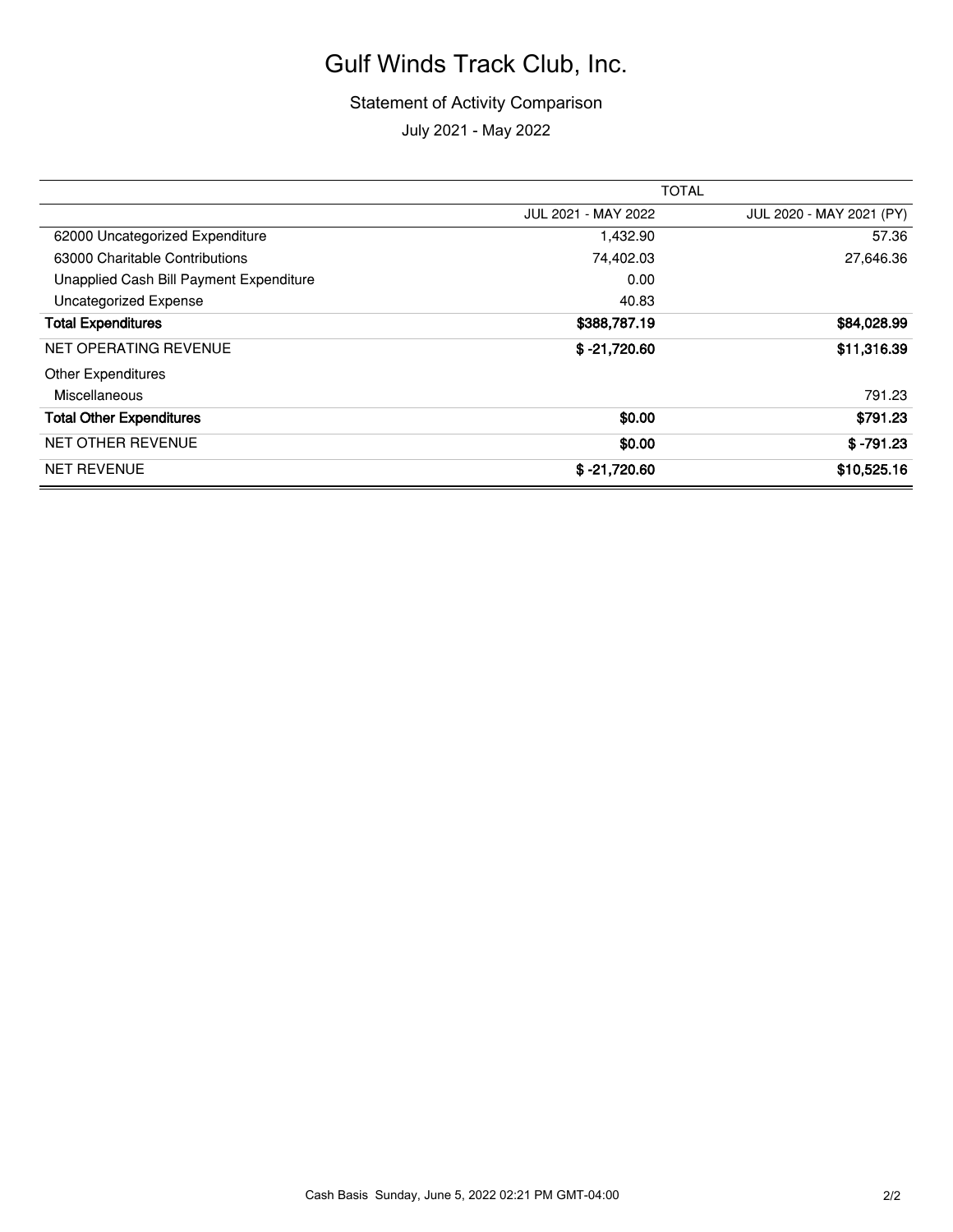#### Statement of Activity Comparison July 2021 - May 2022

|                                         | <b>TOTAL</b>        |                          |
|-----------------------------------------|---------------------|--------------------------|
|                                         | JUL 2021 - MAY 2022 | JUL 2020 - MAY 2021 (PY) |
| 62000 Uncategorized Expenditure         | 1,432.90            | 57.36                    |
| 63000 Charitable Contributions          | 74,402.03           | 27,646.36                |
| Unapplied Cash Bill Payment Expenditure | 0.00                |                          |
| Uncategorized Expense                   | 40.83               |                          |
| <b>Total Expenditures</b>               | \$388,787.19        | \$84,028.99              |
| NET OPERATING REVENUE                   | $$ -21,720.60$      | \$11,316.39              |
| <b>Other Expenditures</b>               |                     |                          |
| Miscellaneous                           |                     | 791.23                   |
| <b>Total Other Expenditures</b>         | \$0.00              | \$791.23                 |
| <b>NET OTHER REVENUE</b>                | \$0.00              | $$ -791.23$              |
| <b>NET REVENUE</b>                      | $$ -21,720.60$      | \$10,525.16              |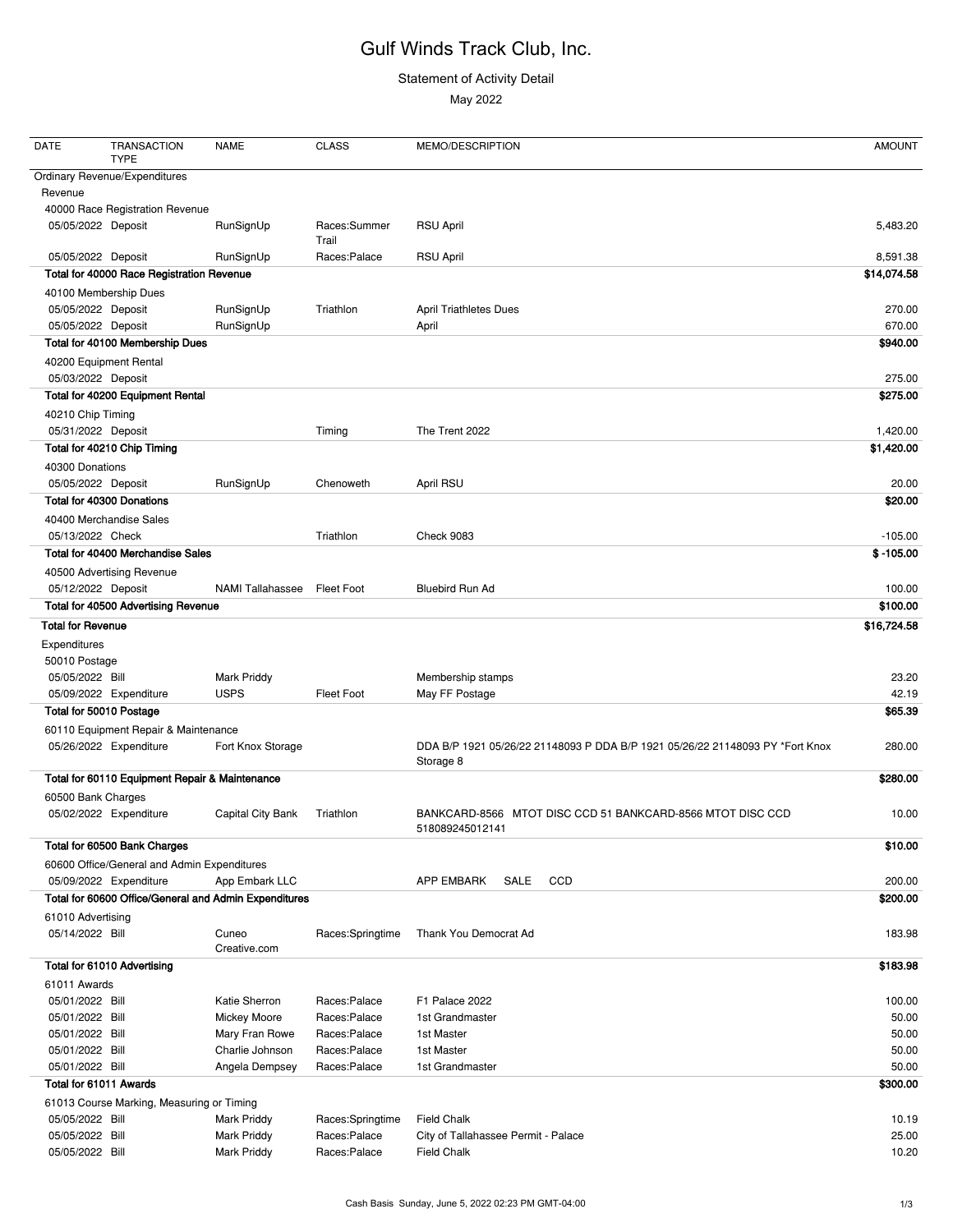#### Statement of Activity Detail

May 2022

| DATE                                    | <b>TRANSACTION</b><br><b>TYPE</b>                     | <b>NAME</b>             | <b>CLASS</b>          | MEMO/DESCRIPTION                                                              | <b>AMOUNT</b> |
|-----------------------------------------|-------------------------------------------------------|-------------------------|-----------------------|-------------------------------------------------------------------------------|---------------|
|                                         | <b>Ordinary Revenue/Expenditures</b>                  |                         |                       |                                                                               |               |
| Revenue                                 |                                                       |                         |                       |                                                                               |               |
|                                         | 40000 Race Registration Revenue                       |                         |                       |                                                                               |               |
| 05/05/2022 Deposit                      |                                                       | RunSignUp               | Races:Summer<br>Trail | <b>RSU April</b>                                                              | 5,483.20      |
| 05/05/2022 Deposit                      |                                                       | RunSignUp               | Races:Palace          | <b>RSU April</b>                                                              | 8,591.38      |
|                                         | Total for 40000 Race Registration Revenue             |                         |                       |                                                                               | \$14,074.58   |
|                                         | 40100 Membership Dues                                 |                         |                       |                                                                               |               |
| 05/05/2022 Deposit                      |                                                       | RunSignUp               | Triathlon             | <b>April Triathletes Dues</b>                                                 | 270.00        |
| 05/05/2022 Deposit                      |                                                       | RunSignUp               |                       | April                                                                         | 670.00        |
|                                         | Total for 40100 Membership Dues                       |                         |                       |                                                                               | \$940.00      |
|                                         | 40200 Equipment Rental                                |                         |                       |                                                                               |               |
| 05/03/2022 Deposit                      |                                                       |                         |                       |                                                                               | 275.00        |
|                                         | Total for 40200 Equipment Rental                      |                         |                       |                                                                               | \$275.00      |
|                                         |                                                       |                         |                       |                                                                               |               |
| 40210 Chip Timing<br>05/31/2022 Deposit |                                                       |                         |                       | The Trent 2022                                                                | 1,420.00      |
|                                         | Total for 40210 Chip Timing                           |                         | Timing                |                                                                               | \$1,420.00    |
|                                         |                                                       |                         |                       |                                                                               |               |
| 40300 Donations                         |                                                       |                         |                       |                                                                               |               |
| 05/05/2022 Deposit                      |                                                       | RunSignUp               | Chenoweth             | April RSU                                                                     | 20.00         |
|                                         | Total for 40300 Donations                             |                         |                       |                                                                               | \$20.00       |
|                                         | 40400 Merchandise Sales                               |                         |                       |                                                                               |               |
| 05/13/2022 Check                        |                                                       |                         | Triathlon             | <b>Check 9083</b>                                                             | $-105.00$     |
|                                         | Total for 40400 Merchandise Sales                     |                         |                       |                                                                               | $$ -105.00$   |
|                                         | 40500 Advertising Revenue                             |                         |                       |                                                                               |               |
| 05/12/2022 Deposit                      |                                                       | <b>NAMI Tallahassee</b> | Fleet Foot            | <b>Bluebird Run Ad</b>                                                        | 100.00        |
|                                         | Total for 40500 Advertising Revenue                   |                         |                       |                                                                               | \$100.00      |
| <b>Total for Revenue</b>                |                                                       |                         |                       |                                                                               | \$16,724.58   |
| Expenditures                            |                                                       |                         |                       |                                                                               |               |
| 50010 Postage                           |                                                       |                         |                       |                                                                               |               |
| 05/05/2022 Bill                         |                                                       | <b>Mark Priddy</b>      |                       | Membership stamps                                                             | 23.20         |
|                                         | 05/09/2022 Expenditure                                | <b>USPS</b>             | <b>Fleet Foot</b>     | May FF Postage                                                                | 42.19         |
|                                         | Total for 50010 Postage                               |                         |                       |                                                                               | \$65.39       |
|                                         | 60110 Equipment Repair & Maintenance                  |                         |                       |                                                                               |               |
|                                         | 05/26/2022 Expenditure                                | Fort Knox Storage       |                       | DDA B/P 1921 05/26/22 21148093 P DDA B/P 1921 05/26/22 21148093 PY *Fort Knox | 280.00        |
|                                         |                                                       |                         |                       | Storage 8                                                                     |               |
|                                         | Total for 60110 Equipment Repair & Maintenance        |                         |                       |                                                                               | \$280.00      |
| 60500 Bank Charges                      |                                                       |                         |                       |                                                                               |               |
|                                         | 05/02/2022 Expenditure                                | Capital City Bank       | Triathlon             | BANKCARD-8566 MTOT DISC CCD 51 BANKCARD-8566 MTOT DISC CCD                    | 10.00         |
|                                         |                                                       |                         |                       | 518089245012141                                                               |               |
|                                         | Total for 60500 Bank Charges                          |                         |                       |                                                                               | \$10.00       |
|                                         | 60600 Office/General and Admin Expenditures           |                         |                       |                                                                               |               |
|                                         | 05/09/2022 Expenditure                                | App Embark LLC          |                       | SALE<br>CCD<br><b>APP EMBARK</b>                                              | 200.00        |
|                                         | Total for 60600 Office/General and Admin Expenditures |                         |                       |                                                                               | \$200.00      |
| 61010 Advertising                       |                                                       |                         |                       |                                                                               |               |
| 05/14/2022 Bill                         |                                                       | Cuneo<br>Creative.com   | Races:Springtime      | Thank You Democrat Ad                                                         | 183.98        |
|                                         | Total for 61010 Advertising                           |                         |                       |                                                                               | \$183.98      |
| 61011 Awards                            |                                                       |                         |                       |                                                                               |               |
| 05/01/2022 Bill                         |                                                       | Katie Sherron           | Races:Palace          | F1 Palace 2022                                                                | 100.00        |
| 05/01/2022 Bill                         |                                                       | <b>Mickey Moore</b>     | Races:Palace          | 1st Grandmaster                                                               | 50.00         |
| 05/01/2022 Bill                         |                                                       | Mary Fran Rowe          | Races:Palace          | 1st Master                                                                    | 50.00         |
| 05/01/2022 Bill                         |                                                       | Charlie Johnson         | Races:Palace          | 1st Master                                                                    | 50.00         |
| 05/01/2022 Bill                         |                                                       | Angela Dempsey          | Races:Palace          | 1st Grandmaster                                                               | 50.00         |
|                                         | Total for 61011 Awards                                |                         |                       |                                                                               | \$300.00      |
|                                         | 61013 Course Marking, Measuring or Timing             |                         |                       |                                                                               |               |
| 05/05/2022 Bill                         |                                                       | <b>Mark Priddy</b>      | Races:Springtime      | <b>Field Chalk</b>                                                            | 10.19         |
| 05/05/2022 Bill                         |                                                       | <b>Mark Priddy</b>      | Races:Palace          | City of Tallahassee Permit - Palace                                           | 25.00         |
| 05/05/2022 Bill                         |                                                       | <b>Mark Priddy</b>      | Races:Palace          | <b>Field Chalk</b>                                                            | 10.20         |
|                                         |                                                       |                         |                       |                                                                               |               |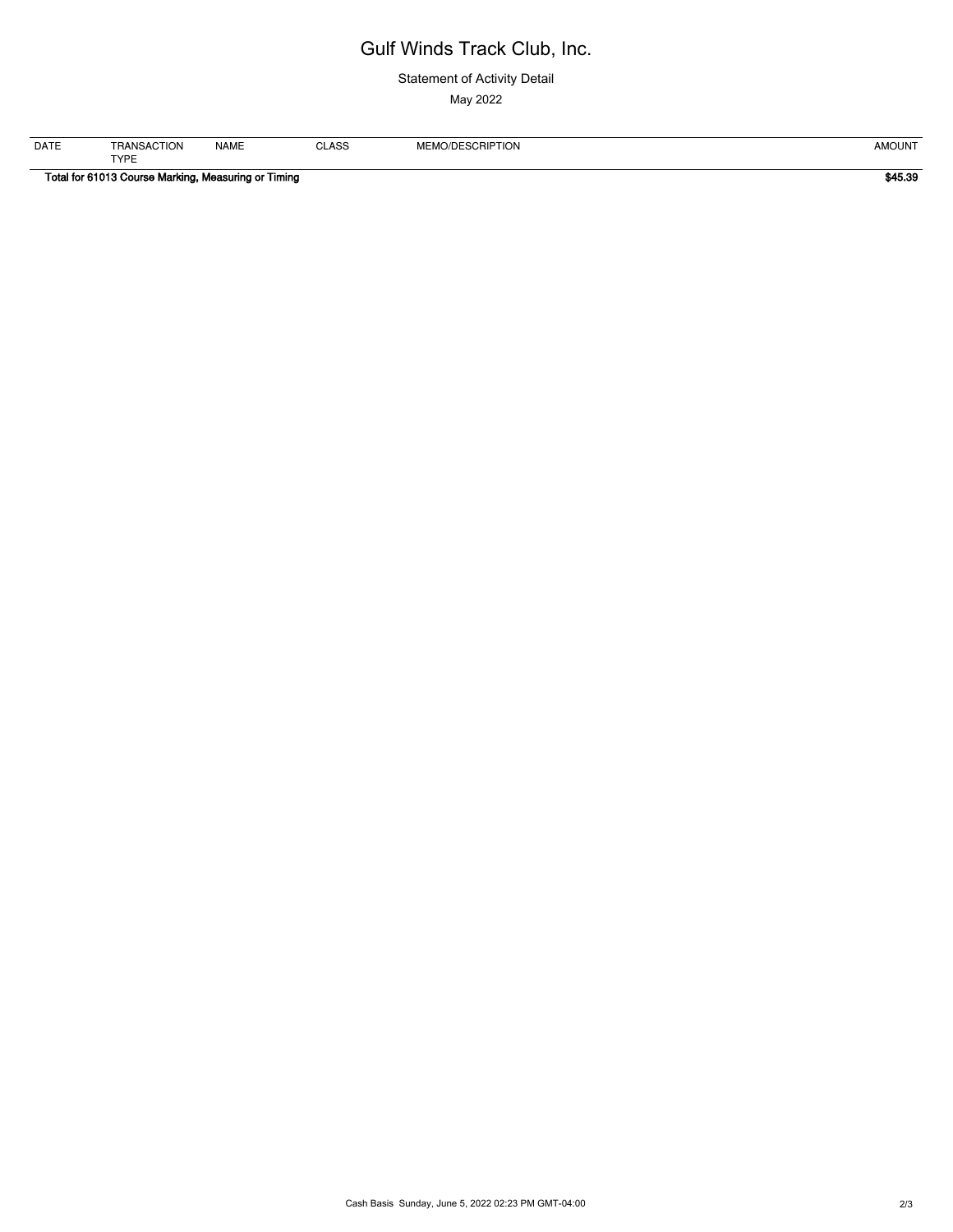#### Statement of Activity Detail

May 2022

| <b>DATE</b>                                         | TRANSACTION | <b>NAME</b> | <b>CLASS</b> | MEMO/DESCRIPTION | AMOUNT  |
|-----------------------------------------------------|-------------|-------------|--------------|------------------|---------|
|                                                     | <b>TYPE</b> |             |              |                  |         |
| Total for 61013 Course Marking, Measuring or Timing |             |             |              |                  | \$45.39 |